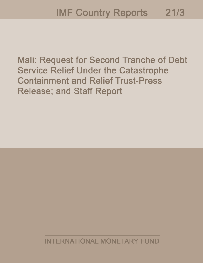**Mali: Request for Second Tranche of Debt Service Relief Under the Catastrophe Containment and Relief Trust-Press Release; and Staff Report** 

**INTERNATIONAL MONETARY FUND**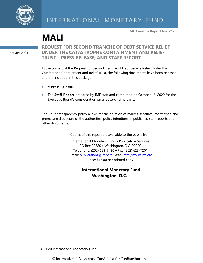

**IMF Country Report No. 21/3**

**MALI**

January 2021

### **REQUEST FOR SECOND TRANCHE OF DEBT SERVICE RELIEF UNDER THE CATASTROPHE CONTAINMENT AND RELIEF TRUST—PRESS RELEASE; AND STAFF REPORT**

In the context of the Request for Second Tranche of Debt Service Relief Under the Catastrophe Containment and Relief Trust, the following documents have been released and are included in this package:

- A **Press Release.**
- The **Staff Report** prepared by IMF staff and completed on October 16, 2020 for the Executive Board's consideration on a lapse-of-time basis.

The IMF's transparency policy allows for the deletion of market-sensitive information and premature disclosure of the authorities' policy intentions in published staff reports and other documents.

Copies of this report are available to the public from

International Monetary Fund • Publication Services PO Box 92780 • Washington, D.C. 20090 Telephone: (202) 623-7430 • Fax: (202) 623-7201 E-mail: publications@imf.org Web:<http://www.imf.org> Price: \$18.00 per printed copy

> **International Monetary Fund Washington, D.C.**

© 2020 International Monetary Fund

©International Monetary Fund. Not for Redistribution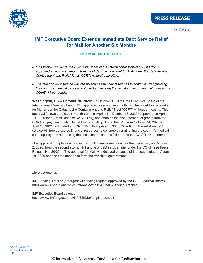

## **IMF Executive Board Extends Immediate Debt Service Relief for Mali for Another Six Months**

#### **FOR IMMEDIATE RELEASE**

- *On October 30, 2020, the Executive Board of the International Monetary Fund (IMF) approved a second six-month tranche of debt service relief for Mali under the Catastrophe Containment and Relief Trust (CCRT) without a meeting.*
- *The relief on debt service will free up scarce financial resources to continue strengthening the country's medical care capacity and addressing the social and economic fallout from the COVID-19 pandemic.*

**Washington, DC – October 30, 2020:** On October 30, 2020, the Executive Board of the International Monetary Fund (IMF) approved a second six-month tranche of debt service relief for Mali under the Catastrophe Containment and Relief Trust (CCRT) without a meeting. This approval follows the first six-month tranche (April 14 – October 13, 2020) approved on April 13, 2020 (see Press Release No. 20/151), and enables the disbursement of grants from the CCRT for payment of eligible debt service falling due to the IMF from October 14, 2020 to April 13, 2021, estimated at SDR 7.50 million (about US\$10.59 million). The relief on debt service will free up scarce financial resources to continue strengthening the country's medical care capacity and addressing the social and economic fallout from the COVID-19 pandemic.

This approval completes an earlier list of 28 low-income countries that benefited, on October 2, 2020, from the second six-month tranche of debt service relief under the CCRT (see Press Release No. 20/304). The approval for Mali was delayed because of the coup d'état on August 18, 2020 and the time needed to form the transition government.

#### *More information*

IMF Lending Tracker (emergency financing request approved by the IMF Executive Board) <https://www.imf.org/en/Topics/imf-and-covid19/COVID-Lending-Tracker>

IMF Executive Board calendar <https://www.imf.org/external/NP/SEC/bc/eng/index.aspx>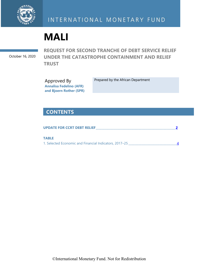<span id="page-3-0"></span>

# **MALI**

October 16, 2020

**REQUEST FOR SECOND TRANCHE OF DEBT SERVICE RELIEF UNDER THE CATASTROPHE CONTAINMENT AND RELIEF TRUST** 

Approved By **Annalisa Fedelino (AFR) and Bjoern Rother (SPR)** Prepared by the African Department

## **CONTENTS**

| <b>UPDATE FOR CCRT DEBT RELIEF</b>                     |  |
|--------------------------------------------------------|--|
| <b>TABLE</b>                                           |  |
| 1. Selected Economic and Financial Indicators, 2017–25 |  |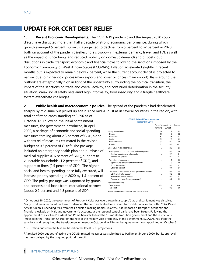# <span id="page-4-0"></span>**[UPDATE FOR CCRT DEBT RELIEF](#page-3-0)**

**1. Recent Economic Developments.** The COVID-19 pandemic and the August 2020 coup d'état have disrupted more than half a decade of strong economic performance, during which growth averaged 5 percent.<sup>1</sup> Growth is projected to decline from 5 percent to -2 percent in 2020 both on account of the pandemic (reflecting a slowdown in external demand, travel, and FDI, as well as the impact of uncertainty and reduced mobility on domestic demand) and of post-coup disruptions in trade, transport, economic and financial flows following the sanctions imposed by the Economic Community of West African States (ECOWAS). Inflation accelerated slightly in recent months but is expected to remain below 2 percent, while the current account deficit is projected to narrow due to higher gold prices (main export) and lower oil prices (main import). Risks around the outlook are exceptionally high in light of the uncertainty surrounding the political transition, the impact of the sanctions on trade and overall activity, and continued deterioration in the security situation. Weak social safety nets amid high informality, food insecurity and a fragile healthcare system exacerbate challenges.

**2. Public health and macroeconomic policies**. The spread of the pandemic had decelerated sharply by mid-June but picked up again since mid-August as in several countries in the region, with

total confirmed cases standing at 3,296 as of October 12. Following the initial containment measures, the government introduced, in April 2020, a package of economic and social spending measures totaling about 2.3 percent of GDP, along with tax relief measures estimated in the revised budget at 0.6 percent of GDP. $2,3$  The package included an emergency health plan and purchase of medical supplies (0.6 percent of GDP), support to vulnerable households (1.2 percent of GDP), and support to firms (0.5 percent of GDP). The higher social and health spending, once fully executed, will increase priority spending in 2020 by 1½ percent of GDP. The policy package was supported by grants and concessional loans from international partners (about 0.2 percent and 1.8 percent of GDP,

| <b>COVID Related Fiscal Measures</b><br>(percent of GDP) |                     |                |        |  |  |  |  |  |  |
|----------------------------------------------------------|---------------------|----------------|--------|--|--|--|--|--|--|
|                                                          | FY 2020 projections | Change         |        |  |  |  |  |  |  |
|                                                          | Pre-Covid           | Current        |        |  |  |  |  |  |  |
| Priority expenditures                                    | 6.4                 | 79             | 1.5    |  |  |  |  |  |  |
| Health                                                   | 1.3                 | 15             | 0.2    |  |  |  |  |  |  |
| Education                                                | 3.7                 | 3.5            | $-0.2$ |  |  |  |  |  |  |
| Social                                                   | 0.5                 | 20             | 1.5    |  |  |  |  |  |  |
| Decentralization                                         | 0.2                 | 0.2            | 0.0    |  |  |  |  |  |  |
| Roads                                                    | 07                  | 0.6            | $-0.1$ |  |  |  |  |  |  |
| Other Covid-related spending                             | $\cdots$            | 2.3            | 2.3    |  |  |  |  |  |  |
| Covid prevention, containment and management             | .                   | 0.6            | 0.6    |  |  |  |  |  |  |
| Medical supplies and other costs                         | .                   | 04             | 0.4    |  |  |  |  |  |  |
| World Bank project                                       | .                   | 02             | 0.2    |  |  |  |  |  |  |
| Transfers to households                                  | .                   | 12             | 1.2    |  |  |  |  |  |  |
| Special fund for vulnerable households                   |                     | 1 <sub>0</sub> | 1.0    |  |  |  |  |  |  |
| Food distribution                                        |                     | 0.1            | 0.1    |  |  |  |  |  |  |
| Utility bill support                                     | .                   | 0.1            | 0.1    |  |  |  |  |  |  |
| Transfers to businesses, SOEs, government entities       | .                   | 0.5            | 0.5    |  |  |  |  |  |  |
| EDM (electricity) support                                | .                   | 0.2            | 0.2    |  |  |  |  |  |  |
| SOMAGEP (water) support                                  | .                   | 0 <sub>1</sub> | 0.1    |  |  |  |  |  |  |
| Support to private firms (quarantees)                    | .                   | 0.2            | 0.2    |  |  |  |  |  |  |
| Memorandum Items:                                        |                     |                |        |  |  |  |  |  |  |
| Total revenue                                            | 20.5                | 17.9           | $-2.6$ |  |  |  |  |  |  |
| Tax relief                                               | .                   | 0.6            | 0.6    |  |  |  |  |  |  |
| Source: Malian authorities and IMF staff estimates.      |                     |                |        |  |  |  |  |  |  |

<sup>1</sup> On August 18, 2020, the government of President Keita was overthrown in a coup d'état, and parliament was dissolved. Many Fund member countries have condemned the coup and called for a return to constitutional order, with ECOWAS and African Union suspending Mali from their decision-making bodies. ECOWAS had imposed a transport, economic and financial blockade on Mali, and government's accounts at the regional central bank have been frozen. Following the appointment of a civilian President and Prime Minister to lead the 18-month transition government and the restrictions imposed in the Transition Charter on the role of the military Vice-Presidency in the government, ECOWAS has lifted the sanctions and recognized the transition government on October 6. A 25-member government was appointed on October 5.

<sup>2</sup> GDP ratios quoted in the text are based on the latest GDP projections.

<sup>&</sup>lt;sup>3</sup> A revised 2020 budget reflecting the COVID-related measures was submitted to Parliament in June 2020, but its approval has been delayed by the ongoing political turmoil.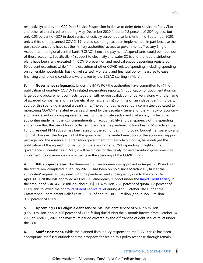respectively) and by the G20 Debt Service Suspension Initiative to defer debt service to Paris Club and other bilateral creditors during May-December 2020 (around 0.2 percent of GDP agreed, but only 0.05 percent of GDP in debt service effectively suspended so far). As of mid-September 2020, only a third of the planned COVID-19-related spending has been implemented, in part because the post-coup sanctions have cut the military authorities' access to government's Treasury Single Account at the regional central bank (BCEAO), hence no payments/expenditures could be made out of those accounts. Specifically: (i) support to electricity and water SOEs and the food distribution plans have been fully executed; (ii) COVID prevention and medical support spending registered 60 percent execution; while (iii) the execution of other COVID-related spending, including spending on vulnerable households, has not yet started. Monetary and financial policy measures to ease financing and lending conditions were taken by the BCEAO starting in March.

**3. Governance safeguards.** Under the IMF's RCF the authorities have committed to (i) the publication of quarterly COVID-19 related expenditure reports; (ii) publication of documentation on large public procurement contracts, together with ex-post validation of delivery along with the name of awarded companies and their beneficial owners; and (iii) commission an independent third party audit of this spending in about a year's time. The authorities have set up a committee dedicated to monitoring COVID-19 related expenses, chaired by the Secretary General of the Ministry of Economy and Finance and including representatives from the private sector and civil society. To help the authorities implement the RCF commitments on accountability and transparency of this spending and ensure that the use of funds collected to address the pandemic follows best PFM practices, the Fund's resident PFM advisor has been assisting the authorities in improving budget transparency and control. However, the August fall of the government, the limited execution of the economic support package, and the absence of a transition government for nearly two months, have delayed the publication of the agreed information on the execution of COVID spending. In light of the governance vulnerabilities in Mali, it will be critical for the newly formed transition government to implement the governance commitments in the spending of the COVID funds.

**4. IMF support status**. The three-year ECF arrangement— approved in August 2019 and with the first review completed in January 2020— has been on hold since March 2020, first at the authorities' request as they dealt with the pandemic and subsequently due to the coup. On April 30, 2020 the IMF approved a COVID-19 emergency support under the Rapid Credit Facility in the amount of SDR146.668 million (about US\$200.4 million, 78.6 percent of quota, 1.2 percent of GDP). This followed the approval of debt service relief during April-October 2020 under the Catastrophe Containment Relief Trust (CCRT) of about SDR 7.3 million (about US\$10 million, 0.06 percent of GDP).

**5. Upcoming CCRT eligible debt service**. Mali has debt service of SDR 7.5 million (US\$10 million, about 0.06 percent of GDP) falling due during the 6-month interval from October 14, 2020 to April 13, 2021, the maximum period covered by the  $2<sup>nd</sup>$  tranche of debt service relief under the CCRT.

**6.** Staff assessment. While the planned fiscal policy response to the COVID crisis has been appropriate, the fiscal outlook and the prospects for seeing this policy response through remain